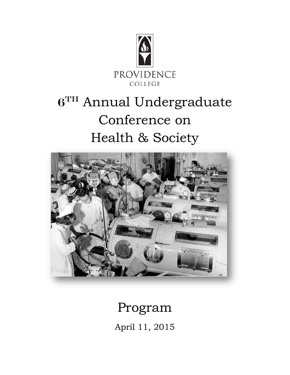

# $6<sup>TH</sup>$  Annual Undergraduate Conference on Health & Society



## Program April 11, 2015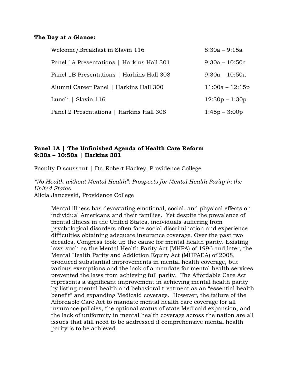#### **The Day at a Glance:**

| Welcome/Breakfast in Slavin 116           | $8:30a - 9:15a$   |
|-------------------------------------------|-------------------|
| Panel 1A Presentations   Harkins Hall 301 | $9:30a - 10:50a$  |
| Panel 1B Presentations   Harkins Hall 308 | $9:30a - 10:50a$  |
| Alumni Career Panel   Harkins Hall 300    | $11:00a - 12:15p$ |
| Lunch   Slavin 116                        | $12:30p - 1:30p$  |
| Panel 2 Presentations   Harkins Hall 308  | $1:45p - 3:00p$   |

## **Panel 1A | The Unfinished Agenda of Health Care Reform 9:30a – 10:50a | Harkins 301**

Faculty Discussant | Dr. Robert Hackey, Providence College

*"No Health without Mental Health": Prospects for Mental Health Parity in the United States* Alicia Jancevski, Providence College

Mental illness has devastating emotional, social, and physical effects on individual Americans and their families. Yet despite the prevalence of mental illness in the United States, individuals suffering from psychological disorders often face social discrimination and experience difficulties obtaining adequate insurance coverage. Over the past two decades, Congress took up the cause for mental health parity. Existing laws such as the Mental Health Parity Act (MHPA) of 1996 and later, the Mental Health Parity and Addiction Equity Act (MHPAEA) of 2008, produced substantial improvements in mental health coverage, but various exemptions and the lack of a mandate for mental health services prevented the laws from achieving full parity. The Affordable Care Act represents a significant improvement in achieving mental health parity by listing mental health and behavioral treatment as an "essential health benefit" and expanding Medicaid coverage. However, the failure of the Affordable Care Act to mandate mental health care coverage for all insurance policies, the optional status of state Medicaid expansion, and the lack of uniformity in mental health coverage across the nation are all issues that still need to be addressed if comprehensive mental health parity is to be achieved.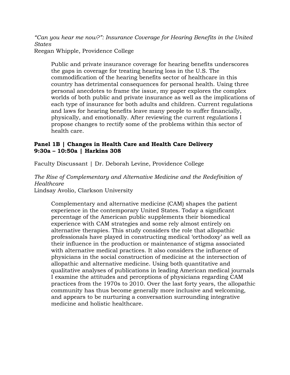*"Can you hear me now?": Insurance Coverage for Hearing Benefits in the United States*

Reegan Whipple, Providence College

Public and private insurance coverage for hearing benefits underscores the gaps in coverage for treating hearing loss in the U.S. The commodification of the hearing benefits sector of healthcare in this country has detrimental consequences for personal health. Using three personal anecdotes to frame the issue, my paper explores the complex worlds of both public and private insurance as well as the implications of each type of insurance for both adults and children. Current regulations and laws for hearing benefits leave many people to suffer financially, physically, and emotionally. After reviewing the current regulations I propose changes to rectify some of the problems within this sector of health care.

## **Panel 1B | Changes in Health Care and Health Care Delivery 9:30a – 10:50a | Harkins 308**

Faculty Discussant | Dr. Deborah Levine, Providence College

*The Rise of Complementary and Alternative Medicine and the Redefinition of Healthcare*

Lindsay Avolio, Clarkson University

Complementary and alternative medicine (CAM) shapes the patient experience in the contemporary United States. Today a significant percentage of the American public supplements their biomedical experience with CAM strategies and some rely almost entirely on alternative therapies. This study considers the role that allopathic professionals have played in constructing medical 'orthodoxy' as well as their influence in the production or maintenance of stigma associated with alternative medical practices. It also considers the influence of physicians in the social construction of medicine at the intersection of allopathic and alternative medicine. Using both quantitative and qualitative analyses of publications in leading American medical journals I examine the attitudes and perceptions of physicians regarding CAM practices from the 1970s to 2010. Over the last forty years, the allopathic community has thus become generally more inclusive and welcoming, and appears to be nurturing a conversation surrounding integrative medicine and holistic healthcare.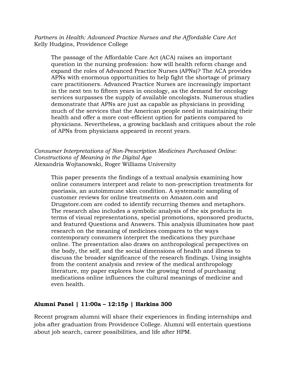*Partners in Health: Advanced Practice Nurses and the Affordable Care Act* Kelly Hudgins, Providence College

The passage of the Affordable Care Act (ACA) raises an important question in the nursing profession: how will health reform change and expand the roles of Advanced Practice Nurses (APNs)? The ACA provides APNs with enormous opportunities to help fight the shortage of primary care practitioners. Advanced Practice Nurses are increasingly important in the next ten to fifteen years in oncology, as the demand for oncology services surpasses the supply of available oncologists. Numerous studies demonstrate that APNs are just as capable as physicians in providing much of the services that the American people need in maintaining their health and offer a more cost-efficient option for patients compared to physicians. Nevertheless, a growing backlash and critiques about the role of APNs from physicians appeared in recent years.

*Consumer Interpretations of Non-Prescription Medicines Purchased Online: Constructions of Meaning in the Digital Age* Alexandria Wojtanowski, Roger Williams University

This paper presents the findings of a textual analysis examining how online consumers interpret and relate to non-prescription treatments for psoriasis, an autoimmune skin condition. A systematic sampling of customer reviews for online treatments on Amazon.com and Drugstore.com are coded to identify recurring themes and metaphors. The research also includes a symbolic analysis of the six products in terms of visual representations, special promotions, sponsored products, and featured Questions and Answers. This analysis illuminates how past research on the meaning of medicines compares to the ways contemporary consumers interpret the medications they purchase online. The presentation also draws on anthropological perspectives on the body, the self, and the social dimensions of health and illness to discuss the broader significance of the research findings. Using insights from the content analysis and review of the medical anthropology literature, my paper explores how the growing trend of purchasing medications online influences the cultural meanings of medicine and even health.

## **Alumni Panel | 11:00a – 12:15p | Harkins 300**

Recent program alumni will share their experiences in finding internships and jobs after graduation from Providence College. Alumni will entertain questions about job search, career possibilities, and life after HPM.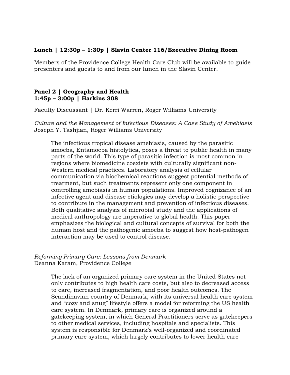## **Lunch | 12:30p – 1:30p | Slavin Center 116/Executive Dining Room**

Members of the Providence College Health Care Club will be available to guide presenters and guests to and from our lunch in the Slavin Center.

## **Panel 2 | Geography and Health 1:45p – 3:00p | Harkins 308**

Faculty Discussant | Dr. Kerri Warren, Roger Williams University

*Culture and the Management of Infectious Diseases: A Case Study of Amebiasis* Joseph Y. Tashjian, Roger Williams University

The infectious tropical disease amebiasis, caused by the parasitic amoeba, Entamoeba histolytica, poses a threat to public health in many parts of the world. This type of parasitic infection is most common in regions where biomedicine coexists with culturally significant non-Western medical practices. Laboratory analysis of cellular communication via biochemical reactions suggest potential methods of treatment, but such treatments represent only one component in controlling amebiasis in human populations. Improved cognizance of an infective agent and disease etiologies may develop a holistic perspective to contribute in the management and prevention of infectious diseases. Both qualitative analysis of microbial study and the applications of medical anthropology are imperative to global health. This paper emphasizes the biological and cultural concepts of survival for both the human host and the pathogenic amoeba to suggest how host-pathogen interaction may be used to control disease.

## *Reforming Primary Care: Lessons from Denmark* Deanna Karam, Providence College

The lack of an organized primary care system in the United States not only contributes to high health care costs, but also to decreased access to care, increased fragmentation, and poor health outcomes. The Scandinavian country of Denmark, with its universal health care system and "cozy and snug" lifestyle offers a model for reforming the US health care system. In Denmark, primary care is organized around a gatekeeping system, in which General Practitioners serve as gatekeepers to other medical services, including hospitals and specialists. This system is responsible for Denmark's well-organized and coordinated primary care system, which largely contributes to lower health care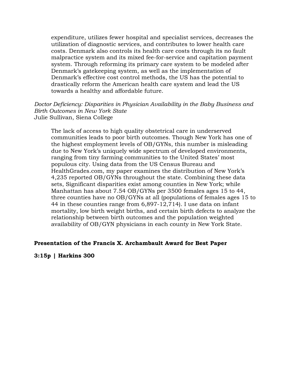expenditure, utilizes fewer hospital and specialist services, decreases the utilization of diagnostic services, and contributes to lower health care costs. Denmark also controls its health care costs through its no fault malpractice system and its mixed fee-for-service and capitation payment system. Through reforming its primary care system to be modeled after Denmark's gatekeeping system, as well as the implementation of Denmark's effective cost control methods, the US has the potential to drastically reform the American health care system and lead the US towards a healthy and affordable future.

*Doctor Deficiency: Disparities in Physician Availability in the Baby Business and Birth Outcomes in New York State* Julie Sullivan, Siena College

The lack of access to high quality obstetrical care in underserved communities leads to poor birth outcomes. Though New York has one of the highest employment levels of OB/GYNs, this number is misleading due to New York's uniquely wide spectrum of developed environments, ranging from tiny farming communities to the United States' most populous city. Using data from the US Census Bureau and HealthGrades.com, my paper examines the distribution of New York's 4,235 reported OB/GYNs throughout the state. Combining these data sets, Significant disparities exist among counties in New York; while Manhattan has about 7.54 OB/GYNs per 3500 females ages 15 to 44, three counties have no OB/GYNs at all (populations of females ages 15 to 44 in these counties range from 6,897-12,714). I use data on infant mortality, low birth weight births, and certain birth defects to analyze the relationship between birth outcomes and the population weighted availability of OB/GYN physicians in each county in New York State.

#### **Presentation of the Francis X. Archambault Award for Best Paper**

**3:15p | Harkins 300**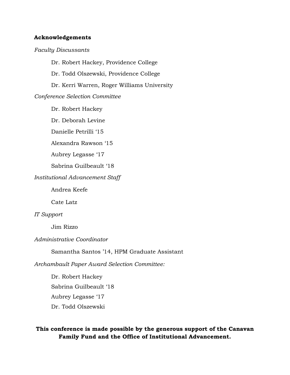#### **Acknowledgements**

#### *Faculty Discussants*

Dr. Robert Hackey, Providence College Dr. Todd Olszewski, Providence College Dr. Kerri Warren, Roger Williams University *Conference Selection Committee*

Dr. Robert Hackey

Dr. Deborah Levine

Danielle Petrilli '15

Alexandra Rawson '15

Aubrey Legasse '17

Sabrina Guilbeault '18

#### *Institutional Advancement Staff*

Andrea Keefe

Cate Latz

#### *IT Support*

Jim Rizzo

#### *Administrative Coordinator*

Samantha Santos '14, HPM Graduate Assistant

*Archambault Paper Award Selection Committee:*

Dr. Robert Hackey Sabrina Guilbeault '18 Aubrey Legasse '17 Dr. Todd Olszewski

## **This conference is made possible by the generous support of the Canavan Family Fund and the Office of Institutional Advancement.**